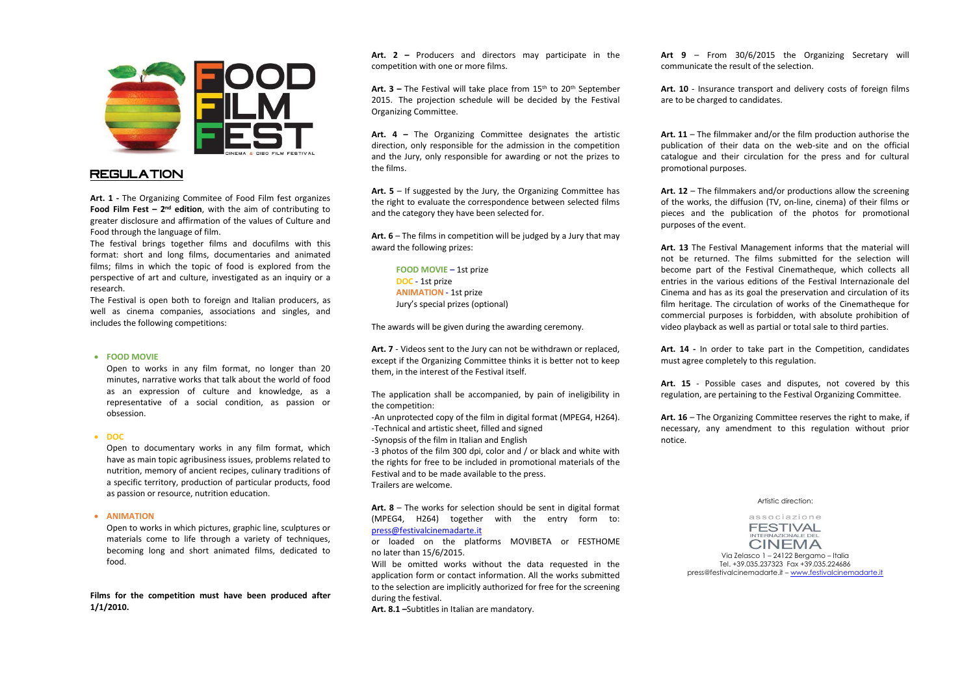

## **REGULATION**

**Art. 1 -** The Organizing Commitee of Food Film fest organizes **Food Film Fest – 2<sup>nd</sup> edition**, with the aim of contributing to greater disclosure and affirmation of the values of Culture and Food through the language of film.

The festival brings together films and docufilms with this format: short and long films, documentaries and animated films; films in which the topic of food is explored from the perspective of art and culture, investigated as an inquiry or a research.

The Festival is open both to foreign and Italian producers, as well as cinema companies, associations and singles, and includes the following competitions:

### **FOOD MOVIE**

Open to works in any film format, no longer than 20 minutes, narrative works that talk about the world of food as an expression of culture and knowledge, as a representative of a social condition, as passion or obsession.

#### **DOC**

Open to documentary works in any film format, which have as main topic agribusiness issues, problems related to nutrition, memory of ancient recipes, culinary traditions of a specific territory, production of particular products, food as passion or resource, nutrition education.

#### **ANIMATION**

Open to works in which pictures, graphic line, sculptures or materials come to life through a variety of techniques, becoming long and short animated films, dedicated to food.

**Films for the competition must have been produced after 1/1/2010.**

**Art. 2 –** Producers and directors may participate in the competition with one or more films.

Art. 3 – The Festival will take place from 15<sup>th</sup> to 20<sup>th</sup> September 2015. The projection schedule will be decided by the Festival Organizing Committee.

**Art. 4 –** The Organizing Committee designates the artistic direction, only responsible for the admission in the competition and the Jury, only responsible for awarding or not the prizes to the films.

**Art. 5** – If suggested by the Jury, the Organizing Committee has the right to evaluate the correspondence between selected films and the category they have been selected for.

**Art. 6** – The films in competition will be judged by a Jury that may award the following prizes:

**FOOD MOVIE –** 1st prize **DOC -** 1st prize **ANIMATION -** 1st prize Jury's special prizes (optional)

The awards will be given during the awarding ceremony.

**Art. 7** - Videos sent to the Jury can not be withdrawn or replaced, except if the Organizing Committee thinks it is better not to keep them, in the interest of the Festival itself.

The application shall be accompanied, by pain of ineligibility in the competition:

-An unprotected copy of the film in digital format (MPEG4, H264). -Technical and artistic sheet, filled and signed

-Synopsis of the film in Italian and English

-3 photos of the film 300 dpi, color and / or black and white with the rights for free to be included in promotional materials of the Festival and to be made available to the press. Trailers are welcome.

**Art. 8** – The works for selection should be sent in digital format (MPEG4, H264) together with the entry form to: [press@festivalcinemadarte.it](mailto:press@festivalcinemadarte.it)

or loaded on the platforms MOVIBETA or FESTHOME no later than 15/6/2015.

Will be omitted works without the data requested in the application form or contact information. All the works submitted to the selection are implicitly authorized for free for the screening during the festival.

**Art. 8.1 –**Subtitles in Italian are mandatory.

**Art 9** – From 30/6/2015 the Organizing Secretary will communicate the result of the selection.

**Art. 10** - Insurance transport and delivery costs of foreign films are to be charged to candidates.

**Art. 11** – The filmmaker and/or the film production authorise the publication of their data on the web-site and on the official catalogue and their circulation for the press and for cultural promotional purposes.

**Art. 12** – The filmmakers and/or productions allow the screening of the works, the diffusion (TV, on-line, cinema) of their films or pieces and the publication of the photos for promotional purposes of the event.

**Art. 13** The Festival Management informs that the material will not be returned. The films submitted for the selection will become part of the Festival Cinematheque, which collects all entries in the various editions of the Festival Internazionale del Cinema and has as its goal the preservation and circulation of its film heritage. The circulation of works of the Cinematheque for commercial purposes is forbidden, with absolute prohibition of video playback as well as partial or total sale to third parties.

**Art. 14 -** In order to take part in the Competition, candidates must agree completely to this regulation.

**Art. 15** - Possible cases and disputes, not covered by this regulation, are pertaining to the Festival Organizing Committee.

**Art. 16** – The Organizing Committee reserves the right to make, if necessary, any amendment to this regulation without prior notice.

#### Artistic direction:

associazione **FESTIVAL** INTERNAZIONALE DEL **CINEMA** 

Via Zelasco 1 – 24122 Bergamo – Italia Tel. +39.035.237323 Fax +39.035.224686 press@festivalcinemadarte.it – [www.festivalcinemadarte.it](http://www.festivalcinemadarte.it/)